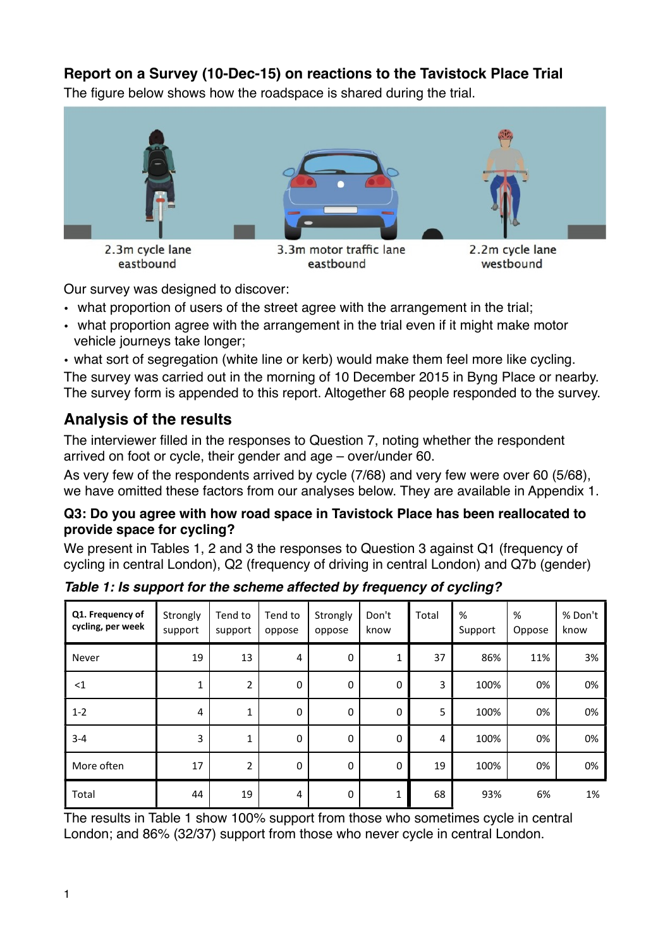### **Report on a Survey (10-Dec-15) on reactions to the Tavistock Place Trial**

The figure below shows how the roadspace is shared during the trial.



Our survey was designed to discover:

- what proportion of users of the street agree with the arrangement in the trial;
- what proportion agree with the arrangement in the trial even if it might make motor vehicle journeys take longer;

• what sort of segregation (white line or kerb) would make them feel more like cycling. The survey was carried out in the morning of 10 December 2015 in Byng Place or nearby. The survey form is appended to this report. Altogether 68 people responded to the survey.

### **Analysis of the results**

The interviewer filled in the responses to Question 7, noting whether the respondent arrived on foot or cycle, their gender and age – over/under 60.

As very few of the respondents arrived by cycle (7/68) and very few were over 60 (5/68), we have omitted these factors from our analyses below. They are available in Appendix 1.

#### **Q3: Do you agree with how road space in Tavistock Place has been reallocated to provide space for cycling?**

We present in Tables 1, 2 and 3 the responses to Question 3 against Q1 (frequency of cycling in central London), Q2 (frequency of driving in central London) and Q7b (gender)

| Q1. Frequency of<br>cycling, per week | Strongly<br>support | Tend to<br>support | Tend to<br>oppose | Strongly<br>oppose | Don't<br>know    | Total | %<br>Support | %<br>Oppose | % Don't<br>know |
|---------------------------------------|---------------------|--------------------|-------------------|--------------------|------------------|-------|--------------|-------------|-----------------|
| Never                                 | 19                  | 13                 | 4                 | $\mathbf 0$        | $\mathbf{1}$     | 37    | 86%          | 11%         | 3%              |
| <1                                    | 1                   | $\overline{2}$     | $\mathbf 0$       | $\mathbf 0$        | $\boldsymbol{0}$ | 3     | 100%         | 0%          | 0%              |
| $1 - 2$                               | 4                   | 1                  | $\mathbf 0$       | $\mathbf 0$        | $\mathbf 0$      | 5     | 100%         | 0%          | 0%              |
| $3 - 4$                               | 3                   | 1                  | $\mathbf 0$       | $\mathbf 0$        | $\mathbf 0$      | 4     | 100%         | 0%          | 0%              |
| More often                            | 17                  | $\overline{2}$     | $\mathbf 0$       | $\mathbf 0$        | $\mathbf 0$      | 19    | 100%         | 0%          | 0%              |
| Total                                 | 44                  | 19                 | 4                 | $\mathbf 0$        | $\mathbf 1$      | 68    | 93%          | 6%          | 1%              |

*Table 1: Is support for the scheme affected by frequency of cycling?*

The results in Table 1 show 100% support from those who sometimes cycle in central London; and 86% (32/37) support from those who never cycle in central London.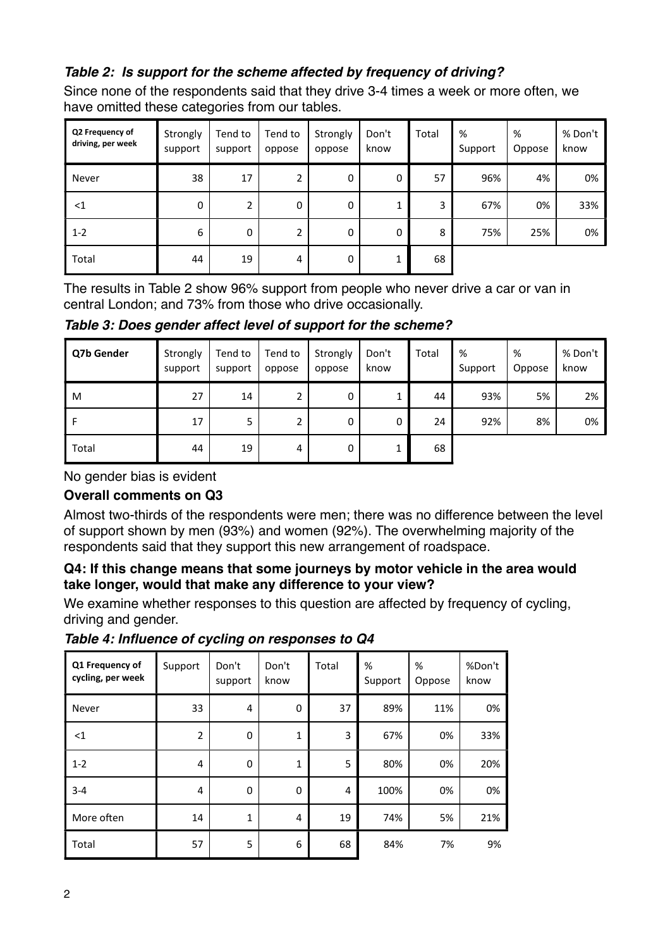### *Table 2: Is support for the scheme affected by frequency of driving?*

Since none of the respondents said that they drive 3-4 times a week or more often, we have omitted these categories from our tables.

| Q2 Frequency of<br>driving, per week | Strongly<br>support | Tend to<br>support | Tend to<br>oppose | Strongly<br>oppose | Don't<br>know | Total | %<br>Support | %<br>Oppose | % Don't<br>know |
|--------------------------------------|---------------------|--------------------|-------------------|--------------------|---------------|-------|--------------|-------------|-----------------|
| Never                                | 38                  | 17                 | 2                 | 0                  | 0             | 57    | 96%          | 4%          | 0%              |
| $<$ 1                                | 0                   |                    | 0                 | 0                  | 1             | 3     | 67%          | 0%          | 33%             |
| $1 - 2$                              | 6                   | 0                  | 2                 | 0                  | 0             | 8     | 75%          | 25%         | 0%              |
| Total                                | 44                  | 19                 | 4                 | 0                  | 1             | 68    |              |             |                 |

The results in Table 2 show 96% support from people who never drive a car or van in central London; and 73% from those who drive occasionally.

*Table 3: Does gender affect level of support for the scheme?* 

| Q7b Gender | Strongly<br>support | Tend to<br>support | Tend to<br>oppose | Strongly<br>oppose | Don't<br>know | Total | %<br>Support | %<br>Oppose | % Don't<br>know |
|------------|---------------------|--------------------|-------------------|--------------------|---------------|-------|--------------|-------------|-----------------|
| M          | 27                  | 14                 | h<br>۷            | 0                  | ┻             | 44    | 93%          | 5%          | 2%              |
| F          | 17                  | 5                  | h<br>۷            | 0                  | 0             | 24    | 92%          | 8%          | 0%              |
| Total      | 44                  | 19                 | 4                 | 0                  |               | 68    |              |             |                 |

No gender bias is evident

#### **Overall comments on Q3**

Almost two-thirds of the respondents were men; there was no difference between the level of support shown by men (93%) and women (92%). The overwhelming majority of the respondents said that they support this new arrangement of roadspace.

#### **Q4: If this change means that some journeys by motor vehicle in the area would take longer, would that make any difference to your view?**

We examine whether responses to this question are affected by frequency of cycling, driving and gender.

| Q1 Frequency of<br>cycling, per week | Support        | Don't<br>support | Don't<br>know | <b>Total</b> | %<br>Support | %<br>Oppose | %Don't<br>know |
|--------------------------------------|----------------|------------------|---------------|--------------|--------------|-------------|----------------|
| Never                                | 33             | 4                | 0             | 37           | 89%          | 11%         | 0%             |
| $<$ 1                                | $\overline{2}$ | $\Omega$         | 1             | 3            | 67%          | 0%          | 33%            |
| $1 - 2$                              | $\overline{4}$ | $\mathbf 0$      | 1             | 5            | 80%          | 0%          | 20%            |
| $3 - 4$                              | $\overline{4}$ | $\Omega$         | 0             | 4            | 100%         | 0%          | 0%             |
| More often                           | 14             | $\mathbf{1}$     | 4             | 19           | 74%          | 5%          | 21%            |
| Total                                | 57             | 5                | 6             | 68           | 84%          | 7%          | 9%             |

*Table 4: Influence of cycling on responses to Q4*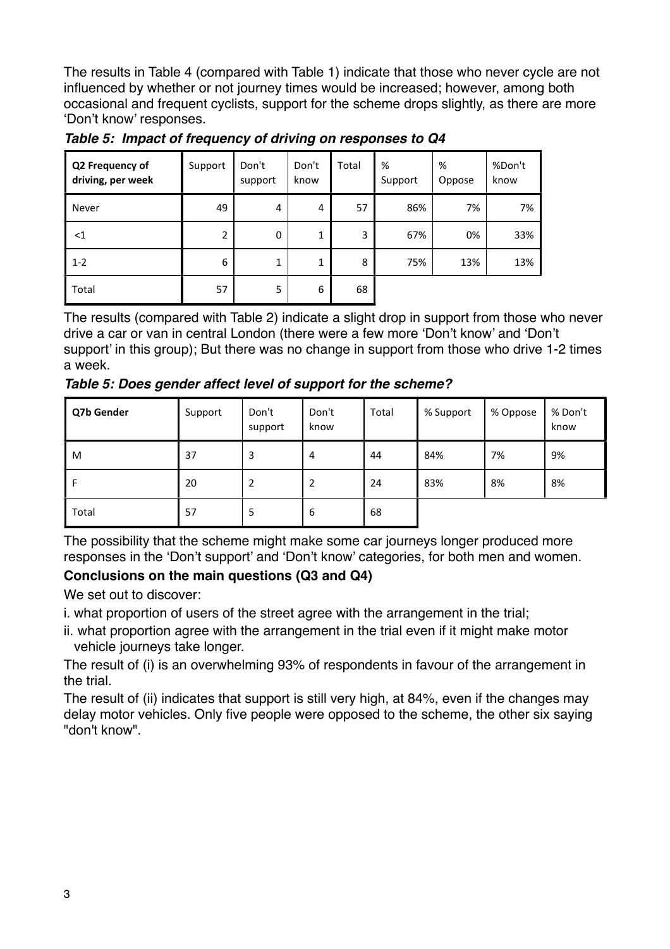The results in Table 4 (compared with Table 1) indicate that those who never cycle are not influenced by whether or not journey times would be increased; however, among both occasional and frequent cyclists, support for the scheme drops slightly, as there are more 'Don't know' responses.

| Q2 Frequency of<br>driving, per week | Support | Don't<br>support | Don't<br>know | Total | %<br>Support | %<br>Oppose | %Don't<br>know |
|--------------------------------------|---------|------------------|---------------|-------|--------------|-------------|----------------|
| Never                                | 49      | 4                | 4             | 57    | 86%          | 7%          | 7%             |
| $<$ 1                                | 2       | 0                | 1             | 3     | 67%          | 0%          | 33%            |
| $1 - 2$                              | 6       | 1                | 1             | 8     | 75%          | 13%         | 13%            |
| Total                                | 57      | 5                | 6             | 68    |              |             |                |

*Table 5: Impact of frequency of driving on responses to Q4*

The results (compared with Table 2) indicate a slight drop in support from those who never drive a car or van in central London (there were a few more 'Don't know' and 'Don't support' in this group); But there was no change in support from those who drive 1-2 times a week.

*Table 5: Does gender affect level of support for the scheme?*

| Q7b Gender | Support | Don't<br>support | Don't<br>know | Total | % Support | % Oppose | % Don't<br>know |
|------------|---------|------------------|---------------|-------|-----------|----------|-----------------|
| M          | 37      | 3                | 4             | 44    | 84%       | 7%       | 9%              |
| F          | 20      |                  | 2             | 24    | 83%       | 8%       | 8%              |
| Total      | 57      | 5                | 6             | 68    |           |          |                 |

The possibility that the scheme might make some car journeys longer produced more responses in the 'Don't support' and 'Don't know' categories, for both men and women.

### **Conclusions on the main questions (Q3 and Q4)**

We set out to discover:

- i. what proportion of users of the street agree with the arrangement in the trial;
- ii. what proportion agree with the arrangement in the trial even if it might make motor vehicle journeys take longer.

The result of (i) is an overwhelming 93% of respondents in favour of the arrangement in the trial.

The result of (ii) indicates that support is still very high, at 84%, even if the changes may delay motor vehicles. Only five people were opposed to the scheme, the other six saying "don't know".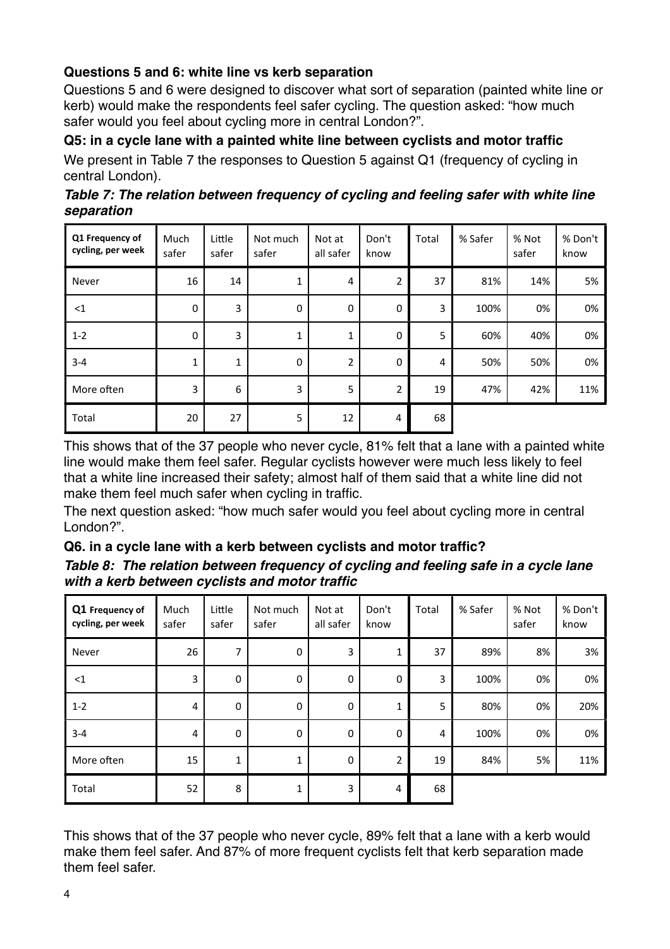### **Questions 5 and 6: white line vs kerb separation**

Questions 5 and 6 were designed to discover what sort of separation (painted white line or kerb) would make the respondents feel safer cycling. The question asked: "how much safer would you feel about cycling more in central London?".

**Q5: in a cycle lane with a painted white line between cyclists and motor traffic**

We present in Table 7 the responses to Question 5 against Q1 (frequency of cycling in central London).

| Table 7: The relation between frequency of cycling and feeling safer with white line |  |
|--------------------------------------------------------------------------------------|--|
| separation                                                                           |  |

| Q1 Frequency of<br>cycling, per week | Much<br>safer | Little<br>safer | Not much<br>safer | Not at<br>all safer | Don't<br>know           | Total | % Safer | % Not<br>safer | % Don't<br>know |
|--------------------------------------|---------------|-----------------|-------------------|---------------------|-------------------------|-------|---------|----------------|-----------------|
| Never                                | 16            | 14              | 1                 | 4                   | $\overline{\mathbf{c}}$ | 37    | 81%     | 14%            | 5%              |
| <1                                   | $\mathbf 0$   | 3               | $\mathbf 0$       | $\boldsymbol{0}$    | $\boldsymbol{0}$        | 3     | 100%    | 0%             | 0%              |
| $1 - 2$                              | $\mathbf 0$   | 3               | 1                 | 1                   | $\mathbf 0$             | 5     | 60%     | 40%            | 0%              |
| $3 - 4$                              | $\mathbf{1}$  | $\mathbf{1}$    | $\mathbf 0$       | $\overline{2}$      | $\boldsymbol{0}$        | 4     | 50%     | 50%            | 0%              |
| More often                           | 3             | 6               | 3                 | 5                   | $\overline{2}$          | 19    | 47%     | 42%            | 11%             |
| Total                                | 20            | 27              | 5                 | 12                  | 4                       | 68    |         |                |                 |

This shows that of the 37 people who never cycle, 81% felt that a lane with a painted white line would make them feel safer. Regular cyclists however were much less likely to feel that a white line increased their safety; almost half of them said that a white line did not make them feel much safer when cycling in traffic.

The next question asked: "how much safer would you feel about cycling more in central London?".

### **Q6. in a cycle lane with a kerb between cyclists and motor traffic?**

| Table 8: The relation between frequency of cycling and feeling safe in a cycle lane |  |
|-------------------------------------------------------------------------------------|--|
| with a kerb between cyclists and motor traffic                                      |  |

| Q1 Frequency of<br>cycling, per week | Much<br>safer | Little<br>safer  | Not much<br>safer | Not at<br>all safer | Don't<br>know    | Total | % Safer | % Not<br>safer | % Don't<br>know |
|--------------------------------------|---------------|------------------|-------------------|---------------------|------------------|-------|---------|----------------|-----------------|
| Never                                | 26            | 7                | $\boldsymbol{0}$  | 3                   | $\mathbf 1$      | 37    | 89%     | 8%             | 3%              |
| <1                                   | 3             | $\pmb{0}$        | $\boldsymbol{0}$  | $\mathbf 0$         | $\boldsymbol{0}$ | 3     | 100%    | 0%             | 0%              |
| $1 - 2$                              | 4             | $\pmb{0}$        | $\boldsymbol{0}$  | $\pmb{0}$           | $\mathbf{1}$     | 5     | 80%     | 0%             | 20%             |
| $3 - 4$                              | 4             | $\boldsymbol{0}$ | $\boldsymbol{0}$  | $\pmb{0}$           | $\boldsymbol{0}$ | 4     | 100%    | 0%             | 0%              |
| More often                           | 15            | $\mathbf{1}$     | 1                 | $\mathbf 0$         | $\overline{2}$   | 19    | 84%     | 5%             | 11%             |
| Total                                | 52            | 8                | 1                 | 3                   | 4                | 68    |         |                |                 |

This shows that of the 37 people who never cycle, 89% felt that a lane with a kerb would make them feel safer. And 87% of more frequent cyclists felt that kerb separation made them feel safer.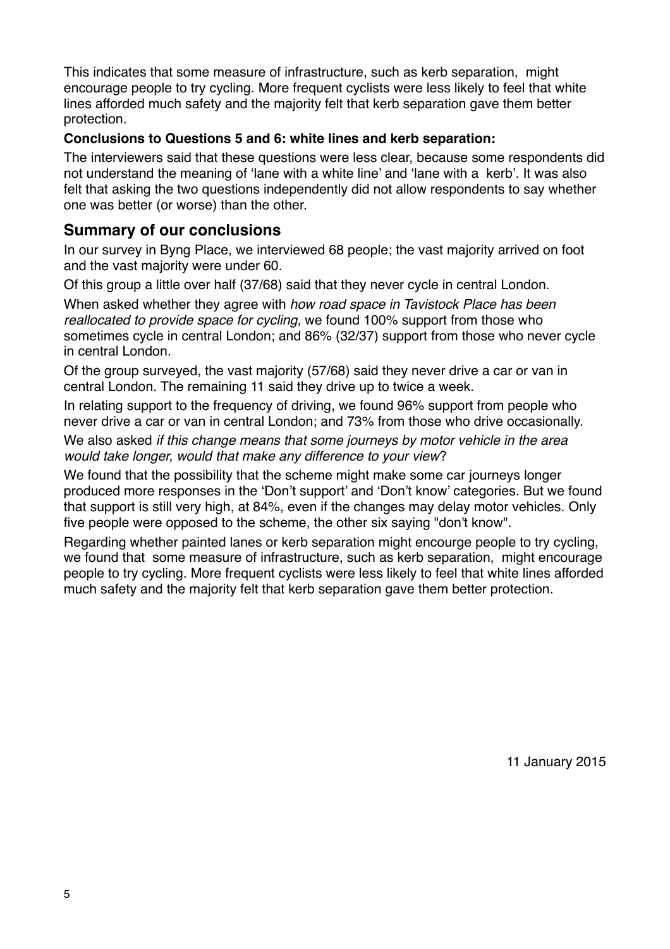This indicates that some measure of infrastructure, such as kerb separation, might encourage people to try cycling. More frequent cyclists were less likely to feel that white lines afforded much safety and the majority felt that kerb separation gave them better protection.

#### **Conclusions to Questions 5 and 6: white lines and kerb separation:**

The interviewers said that these questions were less clear, because some respondents did not understand the meaning of 'lane with a white line' and 'lane with a kerb'. It was also felt that asking the two questions independently did not allow respondents to say whether one was better (or worse) than the other.

### **Summary of our conclusions**

In our survey in Byng Place, we interviewed 68 people; the vast majority arrived on foot and the vast majority were under 60.

Of this group a little over half (37/68) said that they never cycle in central London.

When asked whether they agree with *how road space in Tavistock Place has been reallocated to provide space for cycling*, we found 100% support from those who sometimes cycle in central London; and 86% (32/37) support from those who never cycle in central London.

Of the group surveyed, the vast majority (57/68) said they never drive a car or van in central London. The remaining 11 said they drive up to twice a week.

In relating support to the frequency of driving, we found 96% support from people who never drive a car or van in central London; and 73% from those who drive occasionally.

We also asked *if this change means that some journeys by motor vehicle in the area would take longer, would that make any difference to your view*?

We found that the possibility that the scheme might make some car journeys longer produced more responses in the 'Don't support' and 'Don't know' categories. But we found that support is still very high, at 84%, even if the changes may delay motor vehicles. Only five people were opposed to the scheme, the other six saying "don't know".

Regarding whether painted lanes or kerb separation might encourge people to try cycling, we found that some measure of infrastructure, such as kerb separation, might encourage people to try cycling. More frequent cyclists were less likely to feel that white lines afforded much safety and the majority felt that kerb separation gave them better protection.

11 January 2015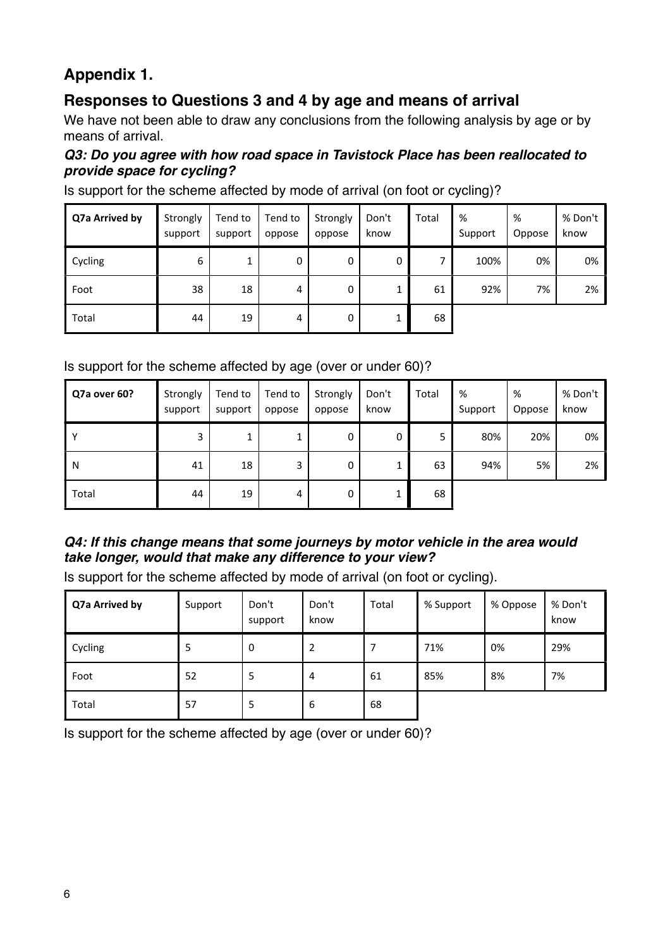### **Appendix 1.**

### **Responses to Questions 3 and 4 by age and means of arrival**

We have not been able to draw any conclusions from the following analysis by age or by means of arrival.

#### *Q3: Do you agree with how road space in Tavistock Place has been reallocated to provide space for cycling?*

Is support for the scheme affected by mode of arrival (on foot or cycling)?

| Q7a Arrived by | Strongly<br>support | Tend to<br>support | Tend to<br>oppose | Strongly<br>oppose | Don't<br>know | Total | %<br>Support | %<br>Oppose | % Don't<br>know |
|----------------|---------------------|--------------------|-------------------|--------------------|---------------|-------|--------------|-------------|-----------------|
| Cycling        | 6                   |                    | 0                 | 0                  | 0             | ⇁     | 100%         | 0%          | 0%              |
| Foot           | 38                  | 18                 | 4                 | 0                  | 1             | 61    | 92%          | 7%          | 2%              |
| Total          | 44                  | 19                 | 4                 | 0                  |               | 68    |              |             |                 |

#### Is support for the scheme affected by age (over or under 60)?

| Q7a over 60? | Strongly<br>support | Tend to<br>support | Tend to<br>oppose | Strongly<br>oppose | Don't<br>know | Total | %<br>Support | %<br>Oppose | % Don't<br>know |
|--------------|---------------------|--------------------|-------------------|--------------------|---------------|-------|--------------|-------------|-----------------|
| Υ            | 3                   |                    |                   | 0                  | 0             | 5     | 80%          | 20%         | 0%              |
| N            | 41                  | 18                 | 3                 | 0                  | ┸             | 63    | 94%          | 5%          | 2%              |
| Total        | 44                  | 19                 | 4                 | 0                  | 1             | 68    |              |             |                 |

### *Q4: If this change means that some journeys by motor vehicle in the area would take longer, would that make any difference to your view?*

Is support for the scheme affected by mode of arrival (on foot or cycling).

| Q7a Arrived by | Support | Don't<br>support | Don't<br>know  | Total | % Support | % Oppose | % Don't<br>know |
|----------------|---------|------------------|----------------|-------|-----------|----------|-----------------|
| Cycling        | Ь       | $\Omega$         | 2              |       | 71%       | 0%       | 29%             |
| Foot           | 52      | ь                | $\overline{4}$ | 61    | 85%       | 8%       | 7%              |
| Total          | 57      | 5                | 6              | 68    |           |          |                 |

Is support for the scheme affected by age (over or under 60)?